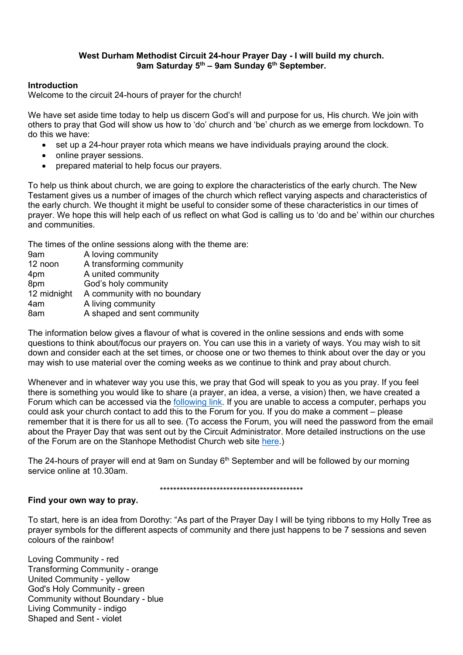## West Durham Methodist Circuit 24-hour Prayer Day - I will build my church. 9am Saturday  $5<sup>th</sup>$  – 9am Sunday  $6<sup>th</sup>$  September.

## Introduction

Welcome to the circuit 24-hours of prayer for the church!

We have set aside time today to help us discern God's will and purpose for us, His church. We join with others to pray that God will show us how to 'do' church and 'be' church as we emerge from lockdown. To do this we have:

- set up a 24-hour prayer rota which means we have individuals praying around the clock.
- online prayer sessions.
- prepared material to help focus our prayers.

To help us think about church, we are going to explore the characteristics of the early church. The New Testament gives us a number of images of the church which reflect varying aspects and characteristics of the early church. We thought it might be useful to consider some of these characteristics in our times of prayer. We hope this will help each of us reflect on what God is calling us to 'do and be' within our churches and communities.

The times of the online sessions along with the theme are:

9am A loving community 12 noon A transforming community 4pm A united community 8pm God's holy community 12 midnight A community with no boundary 4am A living community 8am A shaped and sent community

The information below gives a flavour of what is covered in the online sessions and ends with some questions to think about/focus our prayers on. You can use this in a variety of ways. You may wish to sit down and consider each at the set times, or choose one or two themes to think about over the day or you may wish to use material over the coming weeks as we continue to think and pray about church.

Whenever and in whatever way you use this, we pray that God will speak to you as you pray. If you feel there is something you would like to share (a prayer, an idea, a verse, a vision) then, we have created a Forum which can be accessed via the following link. If you are unable to access a computer, perhaps you could ask your church contact to add this to the Forum for you. If you do make a comment – please remember that it is there for us all to see. (To access the Forum, you will need the password from the email about the Prayer Day that was sent out by the Circuit Administrator. More detailed instructions on the use of the Forum are on the Stanhope Methodist Church web site here.)

The 24-hours of prayer will end at 9am on Sunday  $6<sup>th</sup>$  September and will be followed by our morning service online at 10.30am.

\*\*\*\*\*\*\*\*\*\*\*\*\*\*\*\*\*\*\*\*\*\*\*\*\*\*\*\*\*\*\*\*\*\*\*\*\*\*\*\*\*\*\*

#### Find your own way to pray.

To start, here is an idea from Dorothy: "As part of the Prayer Day I will be tying ribbons to my Holly Tree as prayer symbols for the different aspects of community and there just happens to be 7 sessions and seven colours of the rainbow!

Loving Community - red Transforming Community - orange United Community - yellow God's Holy Community - green Community without Boundary - blue Living Community - indigo Shaped and Sent - violet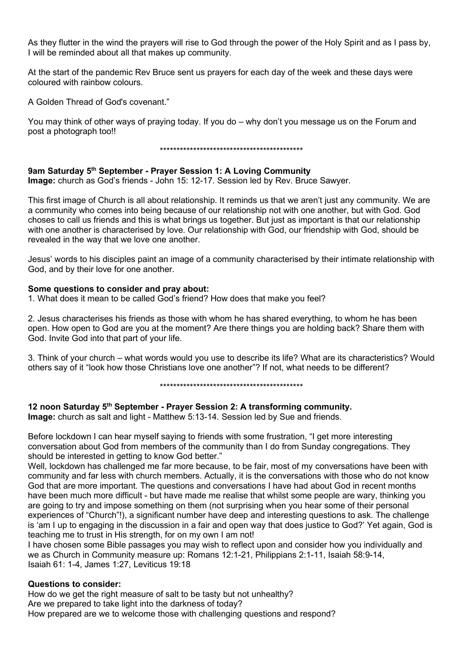As they flutter in the wind the prayers will rise to God through the power of the Holy Spirit and as I pass by, I will be reminded about all that makes up community.

At the start of the pandemic Rev Bruce sent us prayers for each day of the week and these days were coloured with rainbow colours.

A Golden Thread of God's covenant."

You may think of other ways of praying today. If you do – why don't you message us on the Forum and post a photograph too!!

\*\*\*\*\*\*\*\*\*\*\*\*\*\*\*\*\*\*\*\*\*\*\*\*\*\*\*\*\*\*\*\*\*\*\*\*\*\*\*\*\*\*\*

## 9am Saturday 5<sup>th</sup> September - Prayer Session 1: A Loving Community

Image: church as God's friends - John 15: 12-17. Session led by Rev. Bruce Sawyer.

This first image of Church is all about relationship. It reminds us that we aren't just any community. We are a community who comes into being because of our relationship not with one another, but with God. God choses to call us friends and this is what brings us together. But just as important is that our relationship with one another is characterised by love. Our relationship with God, our friendship with God, should be revealed in the way that we love one another.

Jesus' words to his disciples paint an image of a community characterised by their intimate relationship with God, and by their love for one another.

#### Some questions to consider and pray about:

1. What does it mean to be called God's friend? How does that make you feel?

2. Jesus characterises his friends as those with whom he has shared everything, to whom he has been open. How open to God are you at the moment? Are there things you are holding back? Share them with God. Invite God into that part of your life.

3. Think of your church – what words would you use to describe its life? What are its characteristics? Would others say of it "look how those Christians love one another"? If not, what needs to be different?

\*\*\*\*\*\*\*\*\*\*\*\*\*\*\*\*\*\*\*\*\*\*\*\*\*\*\*\*\*\*\*\*\*\*\*\*\*\*\*\*\*\*\*

## 12 noon Saturday 5<sup>th</sup> September - Prayer Session 2: A transforming community.

Image: church as salt and light - Matthew 5:13-14. Session led by Sue and friends.

Before lockdown I can hear myself saying to friends with some frustration, "I get more interesting conversation about God from members of the community than I do from Sunday congregations. They should be interested in getting to know God better."

Well, lockdown has challenged me far more because, to be fair, most of my conversations have been with community and far less with church members. Actually, it is the conversations with those who do not know God that are more important. The questions and conversations I have had about God in recent months have been much more difficult - but have made me realise that whilst some people are wary, thinking you are going to try and impose something on them (not surprising when you hear some of their personal experiences of "Church"!), a significant number have deep and interesting questions to ask. The challenge is 'am I up to engaging in the discussion in a fair and open way that does justice to God?' Yet again, God is teaching me to trust in His strength, for on my own I am not!

I have chosen some Bible passages you may wish to reflect upon and consider how you individually and we as Church in Community measure up: Romans 12:1-21, Philippians 2:1-11, Isaiah 58:9-14, Isaiah 61: 1-4, James 1:27, Leviticus 19:18

## Questions to consider:

How do we get the right measure of salt to be tasty but not unhealthy? Are we prepared to take light into the darkness of today? How prepared are we to welcome those with challenging questions and respond?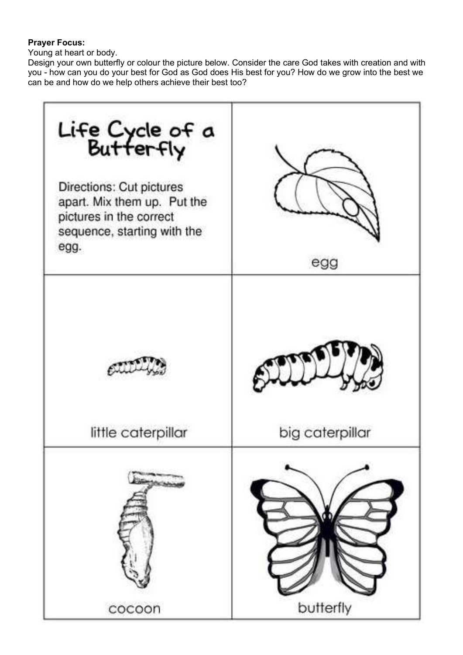# Prayer Focus:

Young at heart or body.

Design your own butterfly or colour the picture below. Consider the care God takes with creation and with you - how can you do your best for God as God does His best for you? How do we grow into the best we can be and how do we help others achieve their best too?

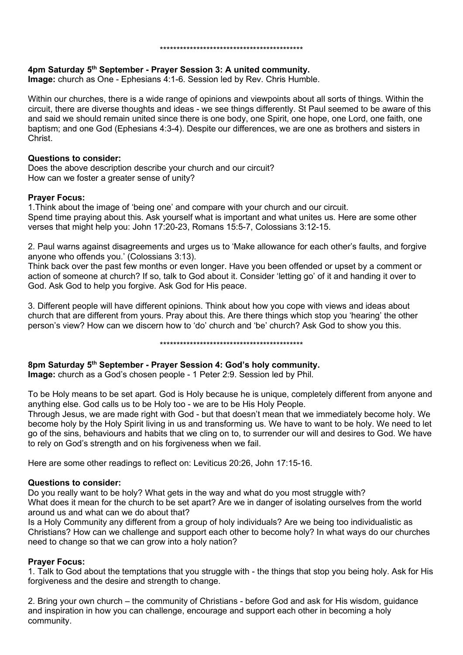#### \*\*\*\*\*\*\*\*\*\*\*\*\*\*\*\*\*\*\*\*\*\*\*\*\*\*\*\*\*\*\*\*\*\*\*\*\*\*\*\*\*\*\*

## 4pm Saturday 5th September - Prayer Session 3: A united community.

Image: church as One - Ephesians 4:1-6. Session led by Rev. Chris Humble.

Within our churches, there is a wide range of opinions and viewpoints about all sorts of things. Within the circuit, there are diverse thoughts and ideas - we see things differently. St Paul seemed to be aware of this and said we should remain united since there is one body, one Spirit, one hope, one Lord, one faith, one baptism; and one God (Ephesians 4:3-4). Despite our differences, we are one as brothers and sisters in Christ.

## Questions to consider:

Does the above description describe your church and our circuit? How can we foster a greater sense of unity?

## Prayer Focus:

1.Think about the image of 'being one' and compare with your church and our circuit. Spend time praying about this. Ask yourself what is important and what unites us. Here are some other verses that might help you: John 17:20-23, Romans 15:5-7, Colossians 3:12-15.

2. Paul warns against disagreements and urges us to 'Make allowance for each other's faults, and forgive anyone who offends you.' (Colossians 3:13).

Think back over the past few months or even longer. Have you been offended or upset by a comment or action of someone at church? If so, talk to God about it. Consider 'letting go' of it and handing it over to God. Ask God to help you forgive. Ask God for His peace.

3. Different people will have different opinions. Think about how you cope with views and ideas about church that are different from yours. Pray about this. Are there things which stop you 'hearing' the other person's view? How can we discern how to 'do' church and 'be' church? Ask God to show you this.

\*\*\*\*\*\*\*\*\*\*\*\*\*\*\*\*\*\*\*\*\*\*\*\*\*\*\*\*\*\*\*\*\*\*\*\*\*\*\*\*\*\*\*

## 8pm Saturday 5th September - Prayer Session 4: God's holy community.

Image: church as a God's chosen people - 1 Peter 2:9. Session led by Phil.

To be Holy means to be set apart. God is Holy because he is unique, completely different from anyone and anything else. God calls us to be Holy too - we are to be His Holy People.

Through Jesus, we are made right with God - but that doesn't mean that we immediately become holy. We become holy by the Holy Spirit living in us and transforming us. We have to want to be holy. We need to let go of the sins, behaviours and habits that we cling on to, to surrender our will and desires to God. We have to rely on God's strength and on his forgiveness when we fail.

Here are some other readings to reflect on: Leviticus 20:26, John 17:15-16.

## Questions to consider:

Do you really want to be holy? What gets in the way and what do you most struggle with? What does it mean for the church to be set apart? Are we in danger of isolating ourselves from the world around us and what can we do about that?

Is a Holy Community any different from a group of holy individuals? Are we being too individualistic as Christians? How can we challenge and support each other to become holy? In what ways do our churches need to change so that we can grow into a holy nation?

## Prayer Focus:

1. Talk to God about the temptations that you struggle with - the things that stop you being holy. Ask for His forgiveness and the desire and strength to change.

2. Bring your own church – the community of Christians - before God and ask for His wisdom, guidance and inspiration in how you can challenge, encourage and support each other in becoming a holy community.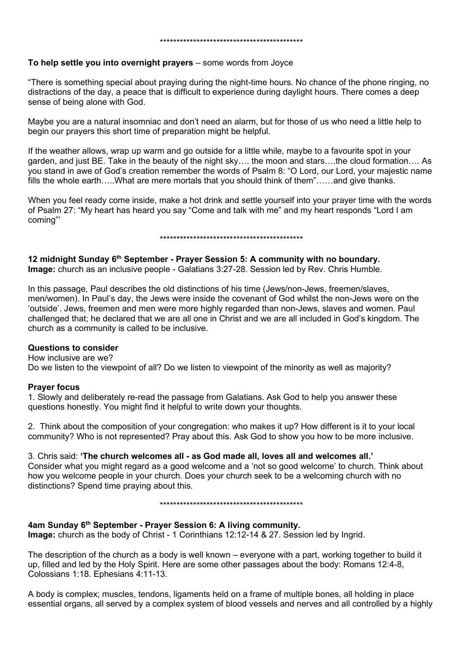#### To help settle you into overnight prayers – some words from Joyce

"There is something special about praying during the night-time hours. No chance of the phone ringing, no distractions of the day, a peace that is difficult to experience during daylight hours. There comes a deep sense of being alone with God.

Maybe you are a natural insomniac and don't need an alarm, but for those of us who need a little help to begin our prayers this short time of preparation might be helpful.

If the weather allows, wrap up warm and go outside for a little while, maybe to a favourite spot in your garden, and just BE. Take in the beauty of the night sky…. the moon and stars….the cloud formation…. As you stand in awe of God's creation remember the words of Psalm 8: "O Lord, our Lord, your majestic name fills the whole earth…..What are mere mortals that you should think of them"……and give thanks.

When you feel ready come inside, make a hot drink and settle yourself into your prayer time with the words of Psalm 27: "My heart has heard you say "Come and talk with me" and my heart responds "Lord I am coming"'

#### \*\*\*\*\*\*\*\*\*\*\*\*\*\*\*\*\*\*\*\*\*\*\*\*\*\*\*\*\*\*\*\*\*\*\*\*\*\*\*\*\*\*\*

12 midnight Sunday 6<sup>th</sup> September - Prayer Session 5: A community with no boundary. Image: church as an inclusive people - Galatians 3:27-28. Session led by Rev. Chris Humble.

In this passage, Paul describes the old distinctions of his time (Jews/non-Jews, freemen/slaves, men/women). In Paul's day, the Jews were inside the covenant of God whilst the non-Jews were on the 'outside'. Jews, freemen and men were more highly regarded than non-Jews, slaves and women. Paul challenged that; he declared that we are all one in Christ and we are all included in God's kingdom. The church as a community is called to be inclusive.

#### Questions to consider

How inclusive are we? Do we listen to the viewpoint of all? Do we listen to viewpoint of the minority as well as majority?

#### Prayer focus

1. Slowly and deliberately re-read the passage from Galatians. Ask God to help you answer these questions honestly. You might find it helpful to write down your thoughts.

2. Think about the composition of your congregation: who makes it up? How different is it to your local community? Who is not represented? Pray about this. Ask God to show you how to be more inclusive.

3. Chris said: 'The church welcomes all - as God made all, loves all and welcomes all.' Consider what you might regard as a good welcome and a 'not so good welcome' to church. Think about how you welcome people in your church. Does your church seek to be a welcoming church with no distinctions? Spend time praying about this.

\*\*\*\*\*\*\*\*\*\*\*\*\*\*\*\*\*\*\*\*\*\*\*\*\*\*\*\*\*\*\*\*\*\*\*\*\*\*\*\*\*\*\*

#### 4am Sunday 6th September - Prayer Session 6: A living community.

Image: church as the body of Christ - 1 Corinthians 12:12-14 & 27. Session led by Ingrid.

The description of the church as a body is well known – everyone with a part, working together to build it up, filled and led by the Holy Spirit. Here are some other passages about the body: Romans 12:4-8, Colossians 1:18. Ephesians 4:11-13.

A body is complex; muscles, tendons, ligaments held on a frame of multiple bones, all holding in place essential organs, all served by a complex system of blood vessels and nerves and all controlled by a highly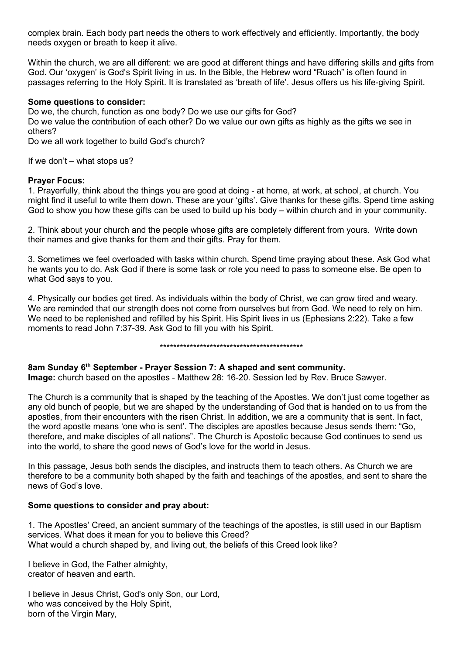complex brain. Each body part needs the others to work effectively and efficiently. Importantly, the body needs oxygen or breath to keep it alive.

Within the church, we are all different: we are good at different things and have differing skills and gifts from God. Our 'oxygen' is God's Spirit living in us. In the Bible, the Hebrew word "Ruach" is often found in passages referring to the Holy Spirit. It is translated as 'breath of life'. Jesus offers us his life-giving Spirit.

## Some questions to consider:

Do we, the church, function as one body? Do we use our gifts for God?

Do we value the contribution of each other? Do we value our own gifts as highly as the gifts we see in others?

Do we all work together to build God's church?

If we don't – what stops us?

## Prayer Focus:

1. Prayerfully, think about the things you are good at doing - at home, at work, at school, at church. You might find it useful to write them down. These are your 'gifts'. Give thanks for these gifts. Spend time asking God to show you how these gifts can be used to build up his body – within church and in your community.

2. Think about your church and the people whose gifts are completely different from yours. Write down their names and give thanks for them and their gifts. Pray for them.

3. Sometimes we feel overloaded with tasks within church. Spend time praying about these. Ask God what he wants you to do. Ask God if there is some task or role you need to pass to someone else. Be open to what God says to you.

4. Physically our bodies get tired. As individuals within the body of Christ, we can grow tired and weary. We are reminded that our strength does not come from ourselves but from God. We need to rely on him. We need to be replenished and refilled by his Spirit. His Spirit lives in us (Ephesians 2:22). Take a few moments to read John 7:37-39. Ask God to fill you with his Spirit.

\*\*\*\*\*\*\*\*\*\*\*\*\*\*\*\*\*\*\*\*\*\*\*\*\*\*\*\*\*\*\*\*\*\*\*\*\*\*\*\*\*\*\*

8am Sunday 6th September - Prayer Session 7: A shaped and sent community.

Image: church based on the apostles - Matthew 28: 16-20. Session led by Rev. Bruce Sawyer.

The Church is a community that is shaped by the teaching of the Apostles. We don't just come together as any old bunch of people, but we are shaped by the understanding of God that is handed on to us from the apostles, from their encounters with the risen Christ. In addition, we are a community that is sent. In fact, the word apostle means 'one who is sent'. The disciples are apostles because Jesus sends them: "Go, therefore, and make disciples of all nations". The Church is Apostolic because God continues to send us into the world, to share the good news of God's love for the world in Jesus.

In this passage, Jesus both sends the disciples, and instructs them to teach others. As Church we are therefore to be a community both shaped by the faith and teachings of the apostles, and sent to share the news of God's love.

## Some questions to consider and pray about:

1. The Apostles' Creed, an ancient summary of the teachings of the apostles, is still used in our Baptism services. What does it mean for you to believe this Creed? What would a church shaped by, and living out, the beliefs of this Creed look like?

I believe in God, the Father almighty, creator of heaven and earth.

I believe in Jesus Christ, God's only Son, our Lord, who was conceived by the Holy Spirit. born of the Virgin Mary,